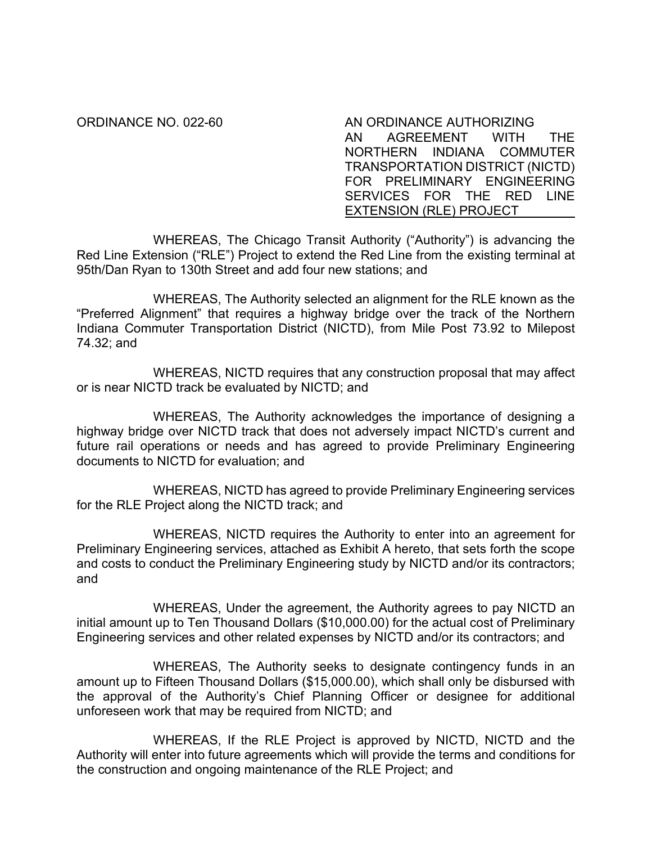ORDINANCE NO. 022-60 AN ORDINANCE AUTHORIZING AN AGREEMENT WITH THE NORTHERN INDIANA COMMUTER TRANSPORTATION DISTRICT (NICTD) FOR PRELIMINARY ENGINEERING SERVICES FOR THE RED LINE EXTENSION (RLE) PROJECT

WHEREAS, The Chicago Transit Authority ("Authority") is advancing the Red Line Extension ("RLE") Project to extend the Red Line from the existing terminal at 95th/Dan Ryan to 130th Street and add four new stations; and

WHEREAS, The Authority selected an alignment for the RLE known as the "Preferred Alignment" that requires a highway bridge over the track of the Northern Indiana Commuter Transportation District (NICTD), from Mile Post 73.92 to Milepost 74.32; and

WHEREAS, NICTD requires that any construction proposal that may affect or is near NICTD track be evaluated by NICTD; and

WHEREAS, The Authority acknowledges the importance of designing a highway bridge over NICTD track that does not adversely impact NICTD's current and future rail operations or needs and has agreed to provide Preliminary Engineering documents to NICTD for evaluation; and

WHEREAS, NICTD has agreed to provide Preliminary Engineering services for the RLE Project along the NICTD track; and

WHEREAS, NICTD requires the Authority to enter into an agreement for Preliminary Engineering services, attached as Exhibit A hereto, that sets forth the scope and costs to conduct the Preliminary Engineering study by NICTD and/or its contractors; and

WHEREAS, Under the agreement, the Authority agrees to pay NICTD an initial amount up to Ten Thousand Dollars (\$10,000.00) for the actual cost of Preliminary Engineering services and other related expenses by NICTD and/or its contractors; and

WHEREAS, The Authority seeks to designate contingency funds in an amount up to Fifteen Thousand Dollars (\$15,000.00), which shall only be disbursed with the approval of the Authority's Chief Planning Officer or designee for additional unforeseen work that may be required from NICTD; and

WHEREAS, If the RLE Project is approved by NICTD, NICTD and the Authority will enter into future agreements which will provide the terms and conditions for the construction and ongoing maintenance of the RLE Project; and